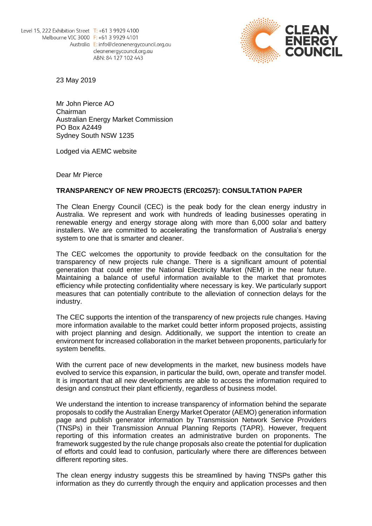

23 May 2019

Mr John Pierce AO Chairman Australian Energy Market Commission PO Box A2449 Sydney South NSW 1235

Lodged via AEMC website

Dear Mr Pierce

### **TRANSPARENCY OF NEW PROJECTS (ERC0257): CONSULTATION PAPER**

The Clean Energy Council (CEC) is the peak body for the clean energy industry in Australia. We represent and work with hundreds of leading businesses operating in renewable energy and energy storage along with more than 6,000 solar and battery installers. We are committed to accelerating the transformation of Australia's energy system to one that is smarter and cleaner.

The CEC welcomes the opportunity to provide feedback on the consultation for the transparency of new projects rule change. There is a significant amount of potential generation that could enter the National Electricity Market (NEM) in the near future. Maintaining a balance of useful information available to the market that promotes efficiency while protecting confidentiality where necessary is key. We particularly support measures that can potentially contribute to the alleviation of connection delays for the industry.

The CEC supports the intention of the transparency of new projects rule changes. Having more information available to the market could better inform proposed projects, assisting with project planning and design. Additionally, we support the intention to create an environment for increased collaboration in the market between proponents, particularly for system benefits.

With the current pace of new developments in the market, new business models have evolved to service this expansion, in particular the build, own, operate and transfer model. It is important that all new developments are able to access the information required to design and construct their plant efficiently, regardless of business model.

We understand the intention to increase transparency of information behind the separate proposals to codify the Australian Energy Market Operator (AEMO) generation information page and publish generator information by Transmission Network Service Providers (TNSPs) in their Transmission Annual Planning Reports (TAPR). However, frequent reporting of this information creates an administrative burden on proponents. The framework suggested by the rule change proposals also create the potential for duplication of efforts and could lead to confusion, particularly where there are differences between different reporting sites.

The clean energy industry suggests this be streamlined by having TNSPs gather this information as they do currently through the enquiry and application processes and then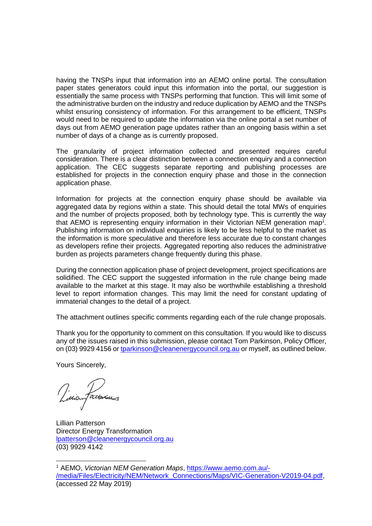having the TNSPs input that information into an AEMO online portal. The consultation paper states generators could input this information into the portal, our suggestion is essentially the same process with TNSPs performing that function. This will limit some of the administrative burden on the industry and reduce duplication by AEMO and the TNSPs whilst ensuring consistency of information. For this arrangement to be efficient, TNSPs would need to be required to update the information via the online portal a set number of days out from AEMO generation page updates rather than an ongoing basis within a set number of days of a change as is currently proposed.

The granularity of project information collected and presented requires careful consideration. There is a clear distinction between a connection enquiry and a connection application. The CEC suggests separate reporting and publishing processes are established for projects in the connection enquiry phase and those in the connection application phase.

Information for projects at the connection enquiry phase should be available via aggregated data by regions within a state. This should detail the total MWs of enquiries and the number of projects proposed, both by technology type. This is currently the way that AEMO is representing enquiry information in their Victorian NEM generation map<sup>1</sup>. Publishing information on individual enquiries is likely to be less helpful to the market as the information is more speculative and therefore less accurate due to constant changes as developers refine their projects. Aggregated reporting also reduces the administrative burden as projects parameters change frequently during this phase.

During the connection application phase of project development, project specifications are solidified. The CEC support the suggested information in the rule change being made available to the market at this stage. It may also be worthwhile establishing a threshold level to report information changes. This may limit the need for constant updating of immaterial changes to the detail of a project.

The attachment outlines specific comments regarding each of the rule change proposals.

Thank you for the opportunity to comment on this consultation*.* If you would like to discuss any of the issues raised in this submission, please contact Tom Parkinson, Policy Officer, on (03) 9929 4156 or [tparkinson@cleanenergycouncil.org.au](mailto:tparkinson@cleanenergycouncil.org.au) or myself, as outlined below.

Yours Sincerely,

Vincenfactorias

Lillian Patterson Director Energy Transformation [lpatterson@cleanenergycouncil.org.au](mailto:lpatterson@cleanenergycouncil.org.au) (03) 9929 4142

<sup>-</sup><sup>1</sup> AEMO, *Victorian NEM Generation Maps*, [https://www.aemo.com.au/-](https://www.aemo.com.au/-/media/Files/Electricity/NEM/Network_Connections/Maps/VIC-Generation-V2019-04.pdf) [/media/Files/Electricity/NEM/Network\\_Connections/Maps/VIC-Generation-V2019-04.pdf,](https://www.aemo.com.au/-/media/Files/Electricity/NEM/Network_Connections/Maps/VIC-Generation-V2019-04.pdf) (accessed 22 May 2019)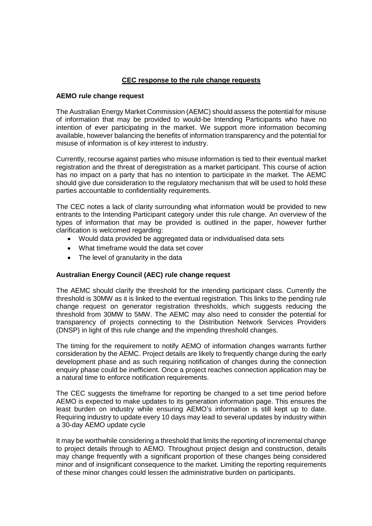# **CEC response to the rule change requests**

#### **AEMO rule change request**

The Australian Energy Market Commission (AEMC) should assess the potential for misuse of information that may be provided to would-be Intending Participants who have no intention of ever participating in the market. We support more information becoming available, however balancing the benefits of information transparency and the potential for misuse of information is of key interest to industry.

Currently, recourse against parties who misuse information is tied to their eventual market registration and the threat of deregistration as a market participant. This course of action has no impact on a party that has no intention to participate in the market. The AEMC should give due consideration to the regulatory mechanism that will be used to hold these parties accountable to confidentiality requirements.

The CEC notes a lack of clarity surrounding what information would be provided to new entrants to the Intending Participant category under this rule change. An overview of the types of information that may be provided is outlined in the paper, however further clarification is welcomed regarding:

- Would data provided be aggregated data or individualised data sets
- What timeframe would the data set cover
- The level of granularity in the data

# **Australian Energy Council (AEC) rule change request**

The AEMC should clarify the threshold for the intending participant class. Currently the threshold is 30MW as it is linked to the eventual registration. This links to the pending rule change request on generator registration thresholds, which suggests reducing the threshold from 30MW to 5MW. The AEMC may also need to consider the potential for transparency of projects connecting to the Distribution Network Services Providers (DNSP) in light of this rule change and the impending threshold changes.

The timing for the requirement to notify AEMO of information changes warrants further consideration by the AEMC. Project details are likely to frequently change during the early development phase and as such requiring notification of changes during the connection enquiry phase could be inefficient. Once a project reaches connection application may be a natural time to enforce notification requirements.

The CEC suggests the timeframe for reporting be changed to a set time period before AEMO is expected to make updates to its generation information page. This ensures the least burden on industry while ensuring AEMO's information is still kept up to date. Requiring industry to update every 10 days may lead to several updates by industry within a 30-day AEMO update cycle

It may be worthwhile considering a threshold that limits the reporting of incremental change to project details through to AEMO. Throughout project design and construction, details may change frequently with a significant proportion of these changes being considered minor and of insignificant consequence to the market. Limiting the reporting requirements of these minor changes could lessen the administrative burden on participants.